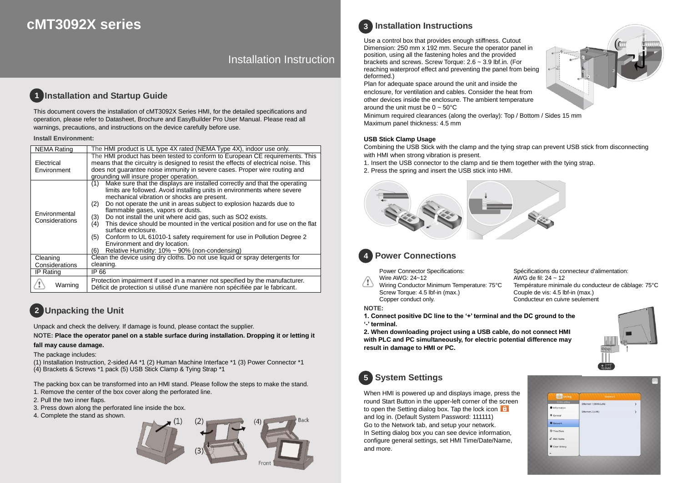# **cMT3092X series**

# Installation Instruction

#### **Installation and Startup Guide 1**

This document covers the installation of cMT3092X Series HMI, for the detailed specifications and operation, please refer to Datasheet, Brochure and EasyBuilder Pro User Manual. Please read all warnings, precautions, and instructions on the device carefully before use.

### **Install Environment:**

| <b>NEMA Rating</b>              | The HMI product is UL type 4X rated (NEMA Type 4X), indoor use only.                                                                                                                                                                                                                                                                                                                                                                                                                                                                                                                                                                                                                            |  |  |  |  |
|---------------------------------|-------------------------------------------------------------------------------------------------------------------------------------------------------------------------------------------------------------------------------------------------------------------------------------------------------------------------------------------------------------------------------------------------------------------------------------------------------------------------------------------------------------------------------------------------------------------------------------------------------------------------------------------------------------------------------------------------|--|--|--|--|
| Electrical<br>Environment       | The HMI product has been tested to conform to European CE requirements. This<br>means that the circuitry is designed to resist the effects of electrical noise. This<br>does not quarantee noise immunity in severe cases. Proper wire routing and<br>grounding will insure proper operation.                                                                                                                                                                                                                                                                                                                                                                                                   |  |  |  |  |
| Environmental<br>Considerations | Make sure that the displays are installed correctly and that the operating<br>(1)<br>limits are followed. Avoid installing units in environments where severe<br>mechanical vibration or shocks are present.<br>Do not operate the unit in areas subject to explosion hazards due to<br>(2)<br>flammable gases, vapors or dusts.<br>Do not install the unit where acid gas, such as SO2 exists.<br>(3)<br>This device should be mounted in the vertical position and for use on the flat<br>(4)<br>surface enclosure.<br>Conform to UL 61010-1 safety requirement for use in Pollution Degree 2<br>(5)<br>Environment and dry location.<br>Relative Humidity: 10% ~ 90% (non-condensing)<br>(6) |  |  |  |  |
| Cleaning                        | Clean the device using dry cloths. Do not use liquid or spray detergents for<br>cleaning.                                                                                                                                                                                                                                                                                                                                                                                                                                                                                                                                                                                                       |  |  |  |  |
| Considerations                  |                                                                                                                                                                                                                                                                                                                                                                                                                                                                                                                                                                                                                                                                                                 |  |  |  |  |
| IP Rating                       | IP 66<br>Protection impairment if used in a manner not specified by the manufacturer.<br>Déficit de protection si utilisé d'une manière non spécifiée par le fabricant.                                                                                                                                                                                                                                                                                                                                                                                                                                                                                                                         |  |  |  |  |
| Warning                         |                                                                                                                                                                                                                                                                                                                                                                                                                                                                                                                                                                                                                                                                                                 |  |  |  |  |

# **Unpacking the Unit 2**

Unpack and check the delivery. If damage is found, please contact the supplier.

**NOTE: Place the operator panel on a stable surface during installation. Dropping it or letting it** 

### **fall may cause damage.**

The package includes:

(1) Installation Instruction, 2-sided A4 \*1 (2) Human Machine Interface \*1 (3) Power Connector \*1 (4) Brackets & Screws \*1 pack (5) USB Stick Clamp & Tying Strap \*1

The packing box can be transformed into an HMI stand. Please follow the steps to make the stand. 1. Remove the center of the box cover along the perforated line.

- 2. Pull the two inner flaps.
- 3. Press down along the perforated line inside the box.
- 4. Complete the stand as shown.





## **Installation Instructions 3**

Use a control box that provides enough stiffness. Cutout Dimension: 250 mm x 192 mm. Secure the operator panel in position, using all the fastening holes and the provided brackets and screws. Screw Torque: 2.6 ~ 3.9 lbf.in. (For reaching waterproof effect and preventing the panel from being deformed.)

Plan for adequate space around the unit and inside the enclosure, for ventilation and cables. Consider the heat from other devices inside the enclosure. The ambient temperature around the unit must be  $0 \sim 50^{\circ}$ C

Minimum required clearances (along the overlay): Top / Bottom / Sides 15 mm Maximum panel thickness: 4.5 mm

### **USB Stick Clamp Usage**

Combining the USB Stick with the clamp and the tying strap can prevent USB stick from disconnecting with HMI when strong vibration is present.

- 1. Insert the USB connector to the clamp and tie them together with the tying strap.
- 2. Press the spring and insert the USB stick into HMI.



#### **Power Connections 4**

Power Connector Specifications: Wire AWG: 24~12

Wiring Conductor Minimum Temperature: 75°C Screw Torque: 4.5 lbf-in (max.) Copper conduct only.

Spécifications du connecteur d'alimentation: AWG de fil: 24 ~ 12 Température minimale du conducteur de câblage: 75°C Couple de vis: 4.5 lbf-in (max.) Conducteur en cuivre seulement

### **NOTE:**

**1. Connect positive DC line to the '+' terminal and the DC ground to the '-' terminal.**

**2. When downloading project using a USB cable, do not connect HMI with PLC and PC simultaneously, for electric potential difference may result in damage to HMI or PC.**



# **System Settings 5**

When HMI is powered up and displays image, press the round Start Button in the upper-left corner of the screen to open the Setting dialog box. Tap the lock icon and log in. (Default System Password: 111111) Go to the Network tab, and setup your network. In Setting dialog box you can see device information, configure general settings, set HMI Time/Date/Name, and more.